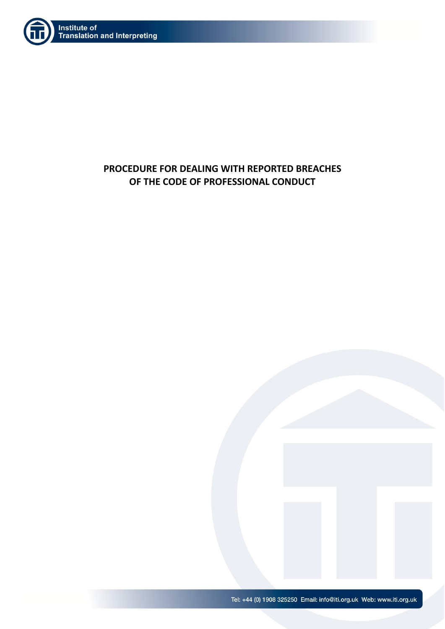

# **PROCEDURE FOR DEALING WITH REPORTED BREACHES OF THE CODE OF PROFESSIONAL CONDUCT**

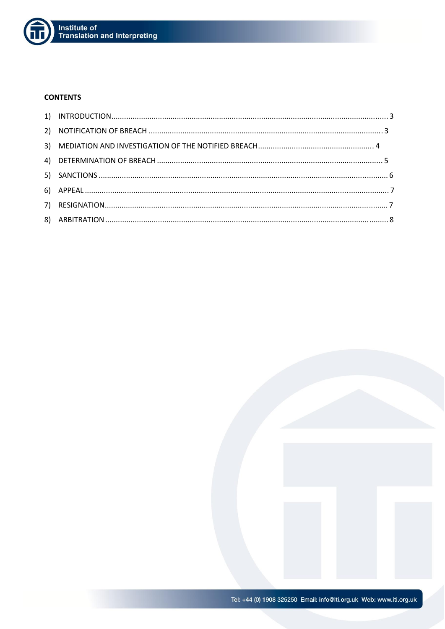

### **CONTENTS**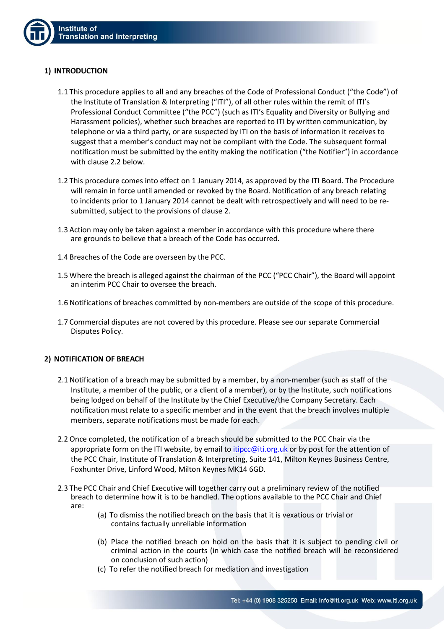## **1) INTRODUCTION**

- 1.1 This procedure applies to all and any breaches of the Code of Professional Conduct ("the Code") of the Institute of Translation & Interpreting ("ITI"), of all other rules within the remit of ITI's Professional Conduct Committee ("the PCC") (such as ITI's Equality and Diversity or Bullying and Harassment policies), whether such breaches are reported to ITI by written communication, by telephone or via a third party, or are suspected by ITI on the basis of information it receives to suggest that a member's conduct may not be compliant with the Code. The subsequent formal notification must be submitted by the entity making the notification ("the Notifier") in accordance with clause 2.2 below.
- 1.2 This procedure comes into effect on 1 January 2014, as approved by the ITI Board. The Procedure will remain in force until amended or revoked by the Board. Notification of any breach relating to incidents prior to 1 January 2014 cannot be dealt with retrospectively and will need to be resubmitted, subject to the provisions of clause 2.
- 1.3 Action may only be taken against a member in accordance with this procedure where there are grounds to believe that a breach of the Code has occurred.
- 1.4 Breaches of the Code are overseen by the PCC.
- 1.5 Where the breach is alleged against the chairman of the PCC ("PCC Chair"), the Board will appoint an interim PCC Chair to oversee the breach.
- 1.6 Notifications of breaches committed by non-members are outside of the scope of this procedure.
- 1.7 Commercial disputes are not covered by this procedure. Please see our separate Commercial Disputes Policy.

# **2) NOTIFICATION OF BREACH**

- 2.1 Notification of a breach may be submitted by a member, by a non-member (such as staff of the Institute, a member of the public, or a client of a member), or by the Institute, such notifications being lodged on behalf of the Institute by the Chief Executive/the Company Secretary. Each notification must relate to a specific member and in the event that the breach involves multiple members, separate notifications must be made for each.
- 2.2 Once completed, the notification of a breach should be submitted to the PCC Chair via the appropriate form on the ITI website, by email to *[itipcc@iti.org.uk](mailto:itipcc@iti.org.uk)* or by post for the attention of the PCC Chair, Institute of Translation & Interpreting, Suite 141, Milton Keynes Business Centre, Foxhunter Drive, Linford Wood, Milton Keynes MK14 6GD.
- 2.3 The PCC Chair and Chief Executive will together carry out a preliminary review of the notified breach to determine how it is to be handled. The options available to the PCC Chair and Chief are:
	- (a) To dismiss the notified breach on the basis that it is vexatious or trivial or contains factually unreliable information
	- (b) Place the notified breach on hold on the basis that it is subject to pending civil or criminal action in the courts (in which case the notified breach will be reconsidered on conclusion of such action)
	- (c) To refer the notified breach for mediation and investigation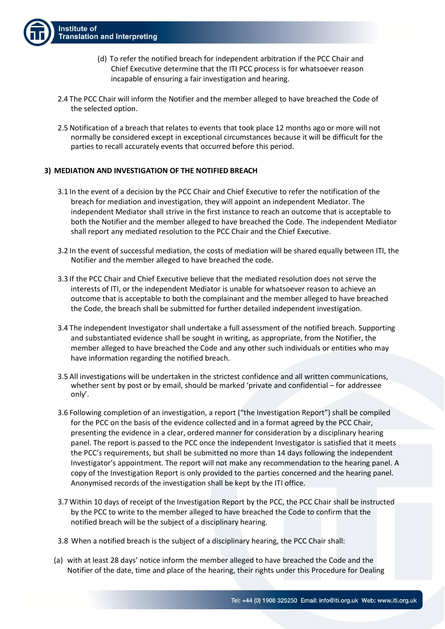- (d) To refer the notified breach for independent arbitration if the PCC Chair and Chief Executive determine that the ITI PCC process is for whatsoever reason incapable of ensuring a fair investigation and hearing.
- 2.4 The PCC Chair will inform the Notifier and the member alleged to have breached the Code of the selected option.
- 2.5 Notification of a breach that relates to events that took place 12 months ago or more will not normally be considered except in exceptional circumstances because it will be difficult for the parties to recall accurately events that occurred before this period.

#### **3) MEDIATION AND INVESTIGATION OF THE NOTIFIED BREACH**

- 3.1 In the event of a decision by the PCC Chair and Chief Executive to refer the notification of the breach for mediation and investigation, they will appoint an independent Mediator. The independent Mediator shall strive in the first instance to reach an outcome that is acceptable to both the Notifier and the member alleged to have breached the Code. The independent Mediator shall report any mediated resolution to the PCC Chair and the Chief Executive.
- 3.2 In the event of successful mediation, the costs of mediation will be shared equally between ITI, the Notifier and the member alleged to have breached the code.
- 3.3 If the PCC Chair and Chief Executive believe that the mediated resolution does not serve the interests of ITI, or the independent Mediator is unable for whatsoever reason to achieve an outcome that is acceptable to both the complainant and the member alleged to have breached the Code, the breach shall be submitted for further detailed independent investigation.
- 3.4 The independent Investigator shall undertake a full assessment of the notified breach. Supporting and substantiated evidence shall be sought in writing, as appropriate, from the Notifier, the member alleged to have breached the Code and any other such individuals or entities who may have information regarding the notified breach.
- 3.5 All investigations will be undertaken in the strictest confidence and all written communications, whether sent by post or by email, should be marked 'private and confidential – for addressee only'.
- 3.6 Following completion of an investigation, a report ("the Investigation Report") shall be compiled for the PCC on the basis of the evidence collected and in a format agreed by the PCC Chair, presenting the evidence in a clear, ordered manner for consideration by a disciplinary hearing panel. The report is passed to the PCC once the independent Investigator is satisfied that it meets the PCC's requirements, but shall be submitted no more than 14 days following the independent Investigator's appointment. The report will not make any recommendation to the hearing panel. A copy of the Investigation Report is only provided to the parties concerned and the hearing panel. Anonymised records of the investigation shall be kept by the ITI office.
- 3.7 Within 10 days of receipt of the Investigation Report by the PCC, the PCC Chair shall be instructed by the PCC to write to the member alleged to have breached the Code to confirm that the notified breach will be the subject of a disciplinary hearing.
- 3.8 When a notified breach is the subject of a disciplinary hearing, the PCC Chair shall:
- (a) with at least 28 days' notice inform the member alleged to have breached the Code and the Notifier of the date, time and place of the hearing, their rights under this Procedure for Dealing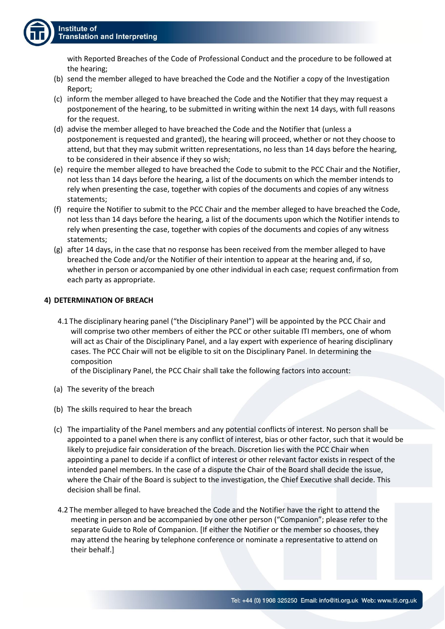with Reported Breaches of the Code of Professional Conduct and the procedure to be followed at the hearing;

- (b) send the member alleged to have breached the Code and the Notifier a copy of the Investigation Report;
- (c) inform the member alleged to have breached the Code and the Notifier that they may request a postponement of the hearing, to be submitted in writing within the next 14 days, with full reasons for the request.
- (d) advise the member alleged to have breached the Code and the Notifier that (unless a postponement is requested and granted), the hearing will proceed, whether or not they choose to attend, but that they may submit written representations, no less than 14 days before the hearing, to be considered in their absence if they so wish;
- (e) require the member alleged to have breached the Code to submit to the PCC Chair and the Notifier, not less than 14 days before the hearing, a list of the documents on which the member intends to rely when presenting the case, together with copies of the documents and copies of any witness statements;
- (f) require the Notifier to submit to the PCC Chair and the member alleged to have breached the Code, not less than 14 days before the hearing, a list of the documents upon which the Notifier intends to rely when presenting the case, together with copies of the documents and copies of any witness statements;
- (g) after 14 days, in the case that no response has been received from the member alleged to have breached the Code and/or the Notifier of their intention to appear at the hearing and, if so, whether in person or accompanied by one other individual in each case; request confirmation from each party as appropriate.

## **4) DETERMINATION OF BREACH**

4.1 The disciplinary hearing panel ("the Disciplinary Panel") will be appointed by the PCC Chair and will comprise two other members of either the PCC or other suitable ITI members, one of whom will act as Chair of the Disciplinary Panel, and a lay expert with experience of hearing disciplinary cases. The PCC Chair will not be eligible to sit on the Disciplinary Panel. In determining the composition

of the Disciplinary Panel, the PCC Chair shall take the following factors into account:

- (a) The severity of the breach
- (b) The skills required to hear the breach
- (c) The impartiality of the Panel members and any potential conflicts of interest. No person shall be appointed to a panel when there is any conflict of interest, bias or other factor, such that it would be likely to prejudice fair consideration of the breach. Discretion lies with the PCC Chair when appointing a panel to decide if a conflict of interest or other relevant factor exists in respect of the intended panel members. In the case of a dispute the Chair of the Board shall decide the issue, where the Chair of the Board is subject to the investigation, the Chief Executive shall decide. This decision shall be final.
- 4.2 The member alleged to have breached the Code and the Notifier have the right to attend the meeting in person and be accompanied by one other person ("Companion"; please refer to the separate Guide to Role of Companion. [If either the Notifier or the member so chooses, they may attend the hearing by telephone conference or nominate a representative to attend on their behalf.]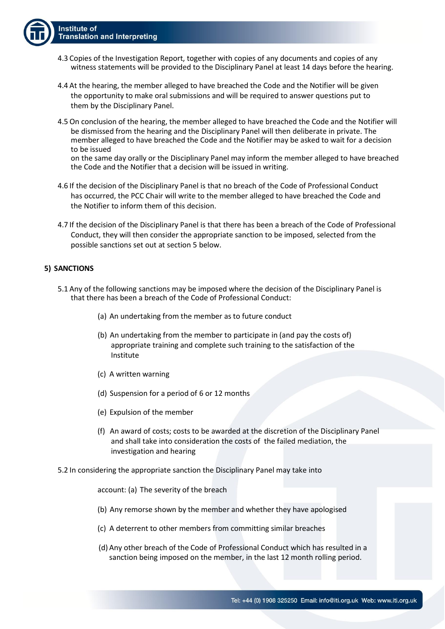- 4.3 Copies of the Investigation Report, together with copies of any documents and copies of any witness statements will be provided to the Disciplinary Panel at least 14 days before the hearing.
- 4.4 At the hearing, the member alleged to have breached the Code and the Notifier will be given the opportunity to make oral submissions and will be required to answer questions put to them by the Disciplinary Panel.
- 4.5 On conclusion of the hearing, the member alleged to have breached the Code and the Notifier will be dismissed from the hearing and the Disciplinary Panel will then deliberate in private. The member alleged to have breached the Code and the Notifier may be asked to wait for a decision to be issued

on the same day orally or the Disciplinary Panel may inform the member alleged to have breached the Code and the Notifier that a decision will be issued in writing.

- 4.6 If the decision of the Disciplinary Panel is that no breach of the Code of Professional Conduct has occurred, the PCC Chair will write to the member alleged to have breached the Code and the Notifier to inform them of this decision.
- 4.7 If the decision of the Disciplinary Panel is that there has been a breach of the Code of Professional Conduct, they will then consider the appropriate sanction to be imposed, selected from the possible sanctions set out at section 5 below.

#### **5) SANCTIONS**

- 5.1 Any of the following sanctions may be imposed where the decision of the Disciplinary Panel is that there has been a breach of the Code of Professional Conduct:
	- (a) An undertaking from the member as to future conduct
	- (b) An undertaking from the member to participate in (and pay the costs of) appropriate training and complete such training to the satisfaction of the Institute
	- (c) A written warning
	- (d) Suspension for a period of 6 or 12 months
	- (e) Expulsion of the member
	- (f) An award of costs; costs to be awarded at the discretion of the Disciplinary Panel and shall take into consideration the costs of the failed mediation, the investigation and hearing
- 5.2 In considering the appropriate sanction the Disciplinary Panel may take into

account: (a) The severity of the breach

- (b) Any remorse shown by the member and whether they have apologised
- (c) A deterrent to other members from committing similar breaches
- (d) Any other breach of the Code of Professional Conduct which has resulted in a sanction being imposed on the member, in the last 12 month rolling period.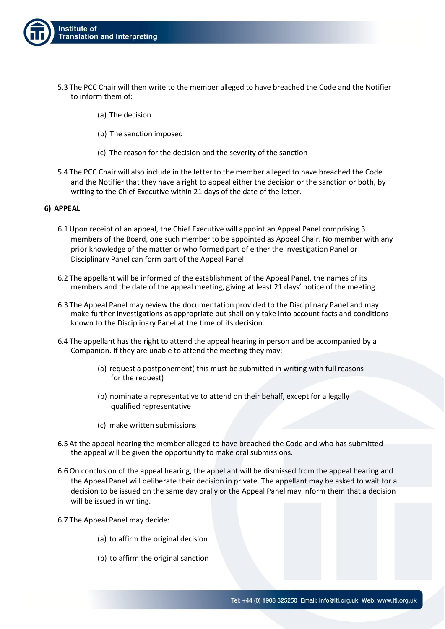

- 5.3 The PCC Chair will then write to the member alleged to have breached the Code and the Notifier to inform them of:
	- (a) The decision
	- (b) The sanction imposed
	- (c) The reason for the decision and the severity of the sanction
- 5.4 The PCC Chair will also include in the letter to the member alleged to have breached the Code and the Notifier that they have a right to appeal either the decision or the sanction or both, by writing to the Chief Executive within 21 days of the date of the letter.

### **6) APPEAL**

- 6.1 Upon receipt of an appeal, the Chief Executive will appoint an Appeal Panel comprising 3 members of the Board, one such member to be appointed as Appeal Chair. No member with any prior knowledge of the matter or who formed part of either the Investigation Panel or Disciplinary Panel can form part of the Appeal Panel.
- 6.2 The appellant will be informed of the establishment of the Appeal Panel, the names of its members and the date of the appeal meeting, giving at least 21 days' notice of the meeting.
- 6.3 The Appeal Panel may review the documentation provided to the Disciplinary Panel and may make further investigations as appropriate but shall only take into account facts and conditions known to the Disciplinary Panel at the time of its decision.
- 6.4 The appellant has the right to attend the appeal hearing in person and be accompanied by a Companion. If they are unable to attend the meeting they may:
	- (a) request a postponement( this must be submitted in writing with full reasons for the request)
	- (b) nominate a representative to attend on their behalf, except for a legally qualified representative
	- (c) make written submissions
- 6.5 At the appeal hearing the member alleged to have breached the Code and who has submitted the appeal will be given the opportunity to make oral submissions.
- 6.6 On conclusion of the appeal hearing, the appellant will be dismissed from the appeal hearing and the Appeal Panel will deliberate their decision in private. The appellant may be asked to wait for a decision to be issued on the same day orally or the Appeal Panel may inform them that a decision will be issued in writing.
- 6.7 The Appeal Panel may decide:
	- (a) to affirm the original decision
	- (b) to affirm the original sanction